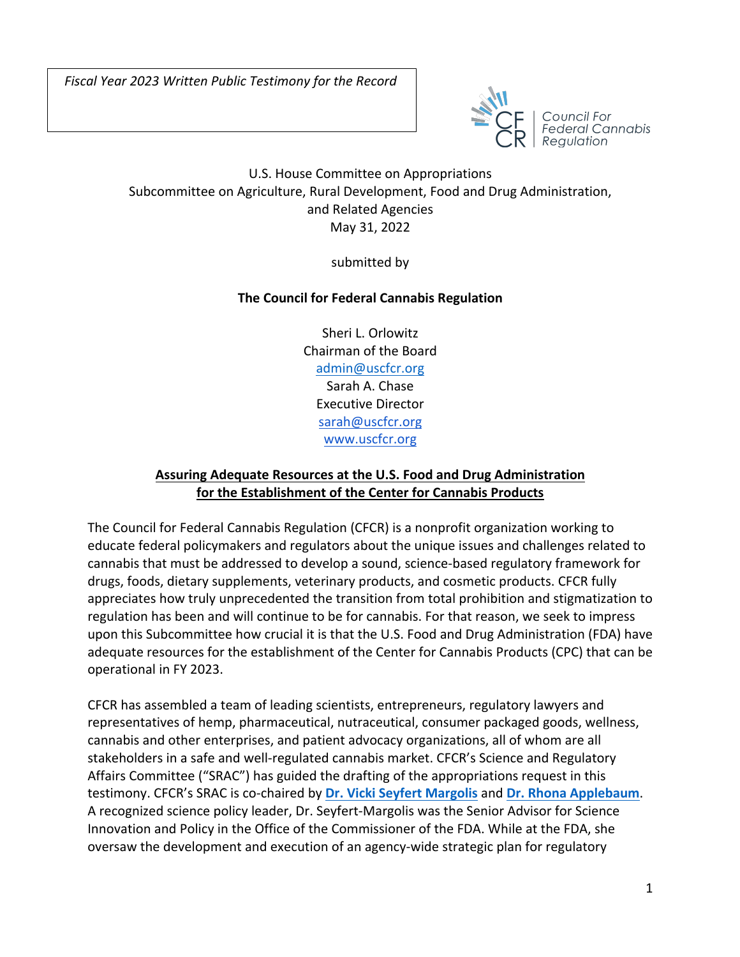

Council For Federal Cannabis

## U.S. House Committee on Appropriations Subcommittee on Agriculture, Rural Development, Food and Drug Administration, and Related Agencies May 31, 2022

submitted by

## **The Council for Federal Cannabis Regulation**

Sheri L. Orlowitz Chairman of the Board admin@uscfcr.org Sarah A. Chase Executive Director sarah@uscfcr.org www.uscfcr.org

## **Assuring Adequate Resources at the U.S. Food and Drug Administration for the Establishment of the Center for Cannabis Products**

The Council for Federal Cannabis Regulation (CFCR) is a nonprofit organization working to educate federal policymakers and regulators about the unique issues and challenges related to cannabis that must be addressed to develop a sound, science-based regulatory framework for drugs, foods, dietary supplements, veterinary products, and cosmetic products. CFCR fully appreciates how truly unprecedented the transition from total prohibition and stigmatization to regulation has been and will continue to be for cannabis. For that reason, we seek to impress upon this Subcommittee how crucial it is that the U.S. Food and Drug Administration (FDA) have adequate resources for the establishment of the Center for Cannabis Products (CPC) that can be operational in FY 2023.

CFCR has assembled a team of leading scientists, entrepreneurs, regulatory lawyers and representatives of hemp, pharmaceutical, nutraceutical, consumer packaged goods, wellness, cannabis and other enterprises, and patient advocacy organizations, all of whom are all stakeholders in a safe and well-regulated cannabis market. CFCR's Science and Regulatory Affairs Committee ("SRAC") has guided the drafting of the appropriations request in this testimony. CFCR's SRAC is co-chaired by **Dr. Vicki Seyfert Margolis** and **Dr. Rhona Applebaum**. A recognized science policy leader, Dr. Seyfert-Margolis was the Senior Advisor for Science Innovation and Policy in the Office of the Commissioner of the FDA. While at the FDA, she oversaw the development and execution of an agency-wide strategic plan for regulatory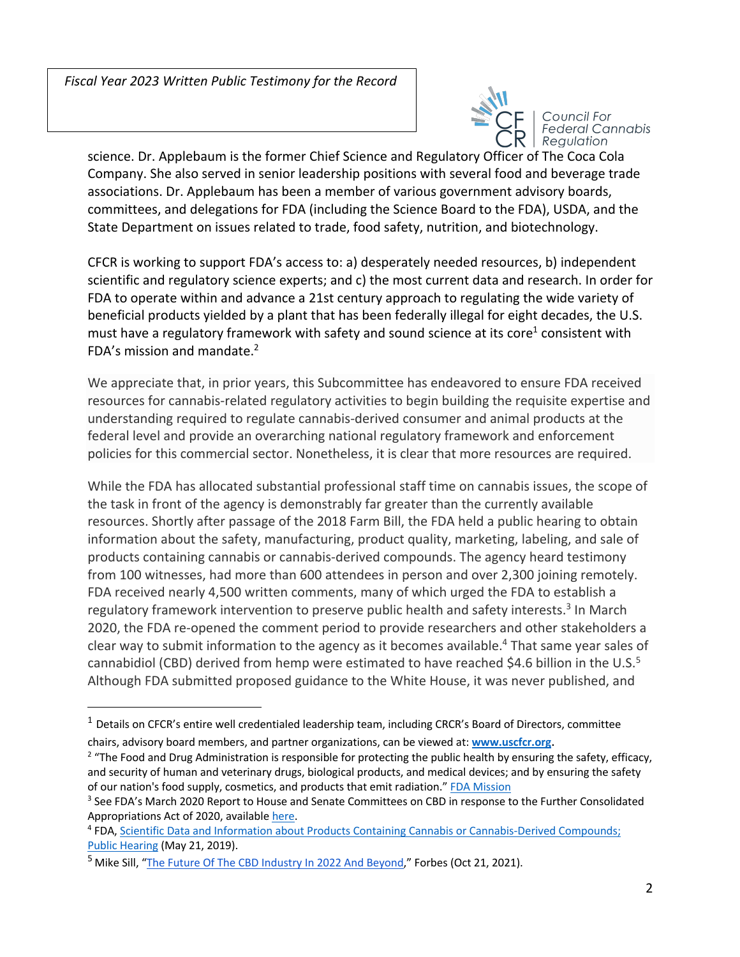

Council For **Federal Cannabis** Regulation

science. Dr. Applebaum is the former Chief Science and Regulatory Officer of The Coca Cola Company. She also served in senior leadership positions with several food and beverage trade associations. Dr. Applebaum has been a member of various government advisory boards, committees, and delegations for FDA (including the Science Board to the FDA), USDA, and the State Department on issues related to trade, food safety, nutrition, and biotechnology.

CFCR is working to support FDA's access to: a) desperately needed resources, b) independent scientific and regulatory science experts; and c) the most current data and research. In order for FDA to operate within and advance a 21st century approach to regulating the wide variety of beneficial products yielded by a plant that has been federally illegal for eight decades, the U.S. must have a regulatory framework with safety and sound science at its core<sup>1</sup> consistent with FDA's mission and mandate.2

We appreciate that, in prior years, this Subcommittee has endeavored to ensure FDA received resources for cannabis-related regulatory activities to begin building the requisite expertise and understanding required to regulate cannabis-derived consumer and animal products at the federal level and provide an overarching national regulatory framework and enforcement policies for this commercial sector. Nonetheless, it is clear that more resources are required.

While the FDA has allocated substantial professional staff time on cannabis issues, the scope of the task in front of the agency is demonstrably far greater than the currently available resources. Shortly after passage of the 2018 Farm Bill, the FDA held a public hearing to obtain information about the safety, manufacturing, product quality, marketing, labeling, and sale of products containing cannabis or cannabis-derived compounds. The agency heard testimony from 100 witnesses, had more than 600 attendees in person and over 2,300 joining remotely. FDA received nearly 4,500 written comments, many of which urged the FDA to establish a regulatory framework intervention to preserve public health and safety interests.<sup>3</sup> In March 2020, the FDA re-opened the comment period to provide researchers and other stakeholders a clear way to submit information to the agency as it becomes available.<sup>4</sup> That same year sales of cannabidiol (CBD) derived from hemp were estimated to have reached \$4.6 billion in the  $U.S.^5$ Although FDA submitted proposed guidance to the White House, it was never published, and

 $1$  Details on CFCR's entire well credentialed leadership team, including CRCR's Board of Directors, committee chairs, advisory board members, and partner organizations, can be viewed at: **www.uscfcr.org**.

<sup>&</sup>lt;sup>2</sup> "The Food and Drug Administration is responsible for protecting the public health by ensuring the safety, efficacy, and security of human and veterinary drugs, biological products, and medical devices; and by ensuring the safety of our nation's food supply, cosmetics, and products that emit radiation." FDA Mission

<sup>&</sup>lt;sup>3</sup> See FDA's March 2020 Report to House and Senate Committees on CBD in response to the Further Consolidated Appropriations Act of 2020, available here.

<sup>4</sup> FDA, Scientific Data and Information about Products Containing Cannabis or Cannabis-Derived Compounds; Public Hearing (May 21, 2019).

<sup>&</sup>lt;sup>5</sup> Mike Sill, "The Future Of The CBD Industry In 2022 And Beyond," Forbes (Oct 21, 2021).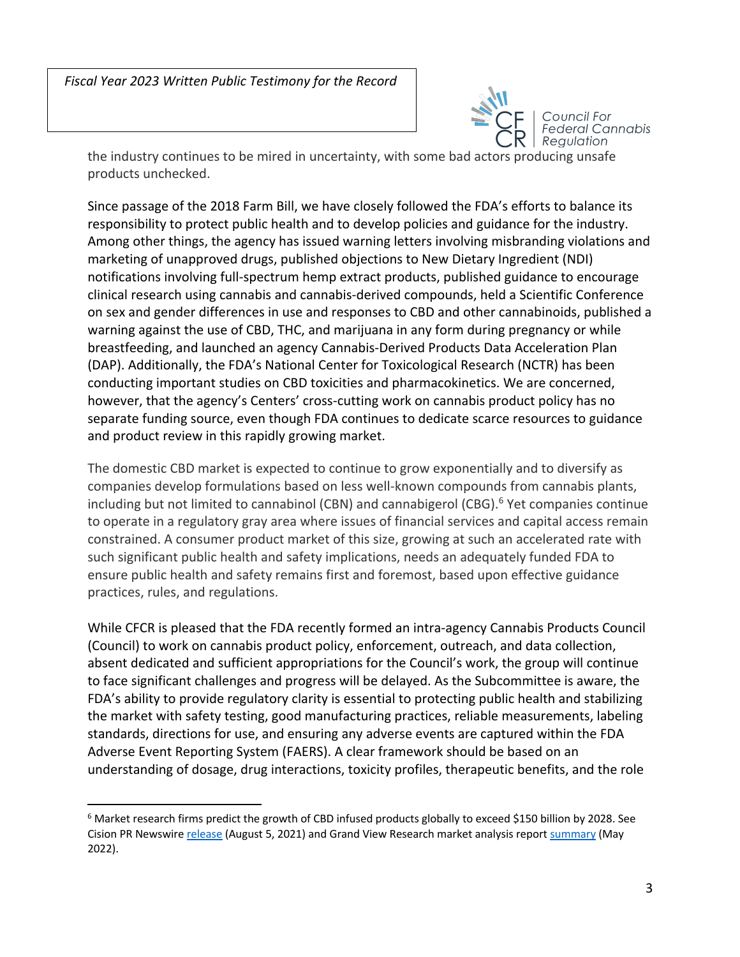

Council For **Federal Cannabis** Regulation

the industry continues to be mired in uncertainty, with some bad actors producing unsafe products unchecked.

Since passage of the 2018 Farm Bill, we have closely followed the FDA's efforts to balance its responsibility to protect public health and to develop policies and guidance for the industry. Among other things, the agency has issued warning letters involving misbranding violations and marketing of unapproved drugs, published objections to New Dietary Ingredient (NDI) notifications involving full-spectrum hemp extract products, published guidance to encourage clinical research using cannabis and cannabis-derived compounds, held a Scientific Conference on sex and gender differences in use and responses to CBD and other cannabinoids, published a warning against the use of CBD, THC, and marijuana in any form during pregnancy or while breastfeeding, and launched an agency Cannabis-Derived Products Data Acceleration Plan (DAP). Additionally, the FDA's National Center for Toxicological Research (NCTR) has been conducting important studies on CBD toxicities and pharmacokinetics. We are concerned, however, that the agency's Centers' cross-cutting work on cannabis product policy has no separate funding source, even though FDA continues to dedicate scarce resources to guidance and product review in this rapidly growing market.

The domestic CBD market is expected to continue to grow exponentially and to diversify as companies develop formulations based on less well-known compounds from cannabis plants, including but not limited to cannabinol (CBN) and cannabigerol (CBG). <sup>6</sup> Yet companies continue to operate in a regulatory gray area where issues of financial services and capital access remain constrained. A consumer product market of this size, growing at such an accelerated rate with such significant public health and safety implications, needs an adequately funded FDA to ensure public health and safety remains first and foremost, based upon effective guidance practices, rules, and regulations.

While CFCR is pleased that the FDA recently formed an intra-agency Cannabis Products Council (Council) to work on cannabis product policy, enforcement, outreach, and data collection, absent dedicated and sufficient appropriations for the Council's work, the group will continue to face significant challenges and progress will be delayed. As the Subcommittee is aware, the FDA's ability to provide regulatory clarity is essential to protecting public health and stabilizing the market with safety testing, good manufacturing practices, reliable measurements, labeling standards, directions for use, and ensuring any adverse events are captured within the FDA Adverse Event Reporting System (FAERS). A clear framework should be based on an understanding of dosage, drug interactions, toxicity profiles, therapeutic benefits, and the role

<sup>6</sup> Market research firms predict the growth of CBD infused products globally to exceed \$150 billion by 2028. See Cision PR Newswire release (August 5, 2021) and Grand View Research market analysis report summary (May 2022).